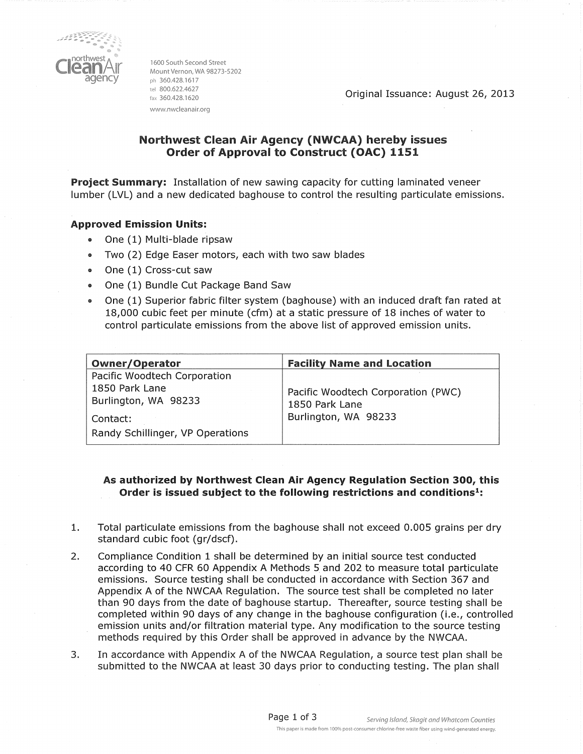

1600 South Second Street Mount Vernon, WA 98273-5202 ph 360.428.1617 tel 800.622.4627 fax 360.428.1620 www.nwcleanair.org

Original Issuance: August 26, 2013

## Northwest Clean Air Agency (NWCAA) hereby issues **Order of Approval to Construct (OAC) 1151**

Project Summary: Installation of new sawing capacity for cutting laminated veneer lumber (LVL) and a new dedicated baghouse to control the resulting particulate emissions.

#### **Approved Emission Units:**

- One (1) Multi-blade ripsaw  $\bullet$
- Two (2) Edge Easer motors, each with two saw blades  $\bullet$
- One (1) Cross-cut saw  $\bullet$
- One (1) Bundle Cut Package Band Saw  $\bullet$
- One (1) Superior fabric filter system (baghouse) with an induced draft fan rated at  $\bullet$ 18,000 cubic feet per minute (cfm) at a static pressure of 18 inches of water to control particulate emissions from the above list of approved emission units.

| <b>Owner/Operator</b>            | <b>Facility Name and Location</b>  |
|----------------------------------|------------------------------------|
| Pacific Woodtech Corporation     |                                    |
| 1850 Park Lane                   | Pacific Woodtech Corporation (PWC) |
| Burlington, WA 98233             | 1850 Park Lane                     |
| Contact:                         | Burlington, WA 98233               |
| Randy Schillinger, VP Operations |                                    |

### As authorized by Northwest Clean Air Agency Regulation Section 300, this Order is issued subject to the following restrictions and conditions<sup>1</sup>:

- Total particulate emissions from the baghouse shall not exceed 0.005 grains per dry 1. standard cubic foot (gr/dscf).
- $2.$ Compliance Condition 1 shall be determined by an initial source test conducted according to 40 CFR 60 Appendix A Methods 5 and 202 to measure total particulate emissions. Source testing shall be conducted in accordance with Section 367 and Appendix A of the NWCAA Regulation. The source test shall be completed no later than 90 days from the date of baghouse startup. Thereafter, source testing shall be completed within 90 days of any change in the baghouse configuration (i.e., controlled emission units and/or filtration material type. Any modification to the source testing methods required by this Order shall be approved in advance by the NWCAA.
- In accordance with Appendix A of the NWCAA Regulation, a source test plan shall be  $3.$ submitted to the NWCAA at least 30 days prior to conducting testing. The plan shall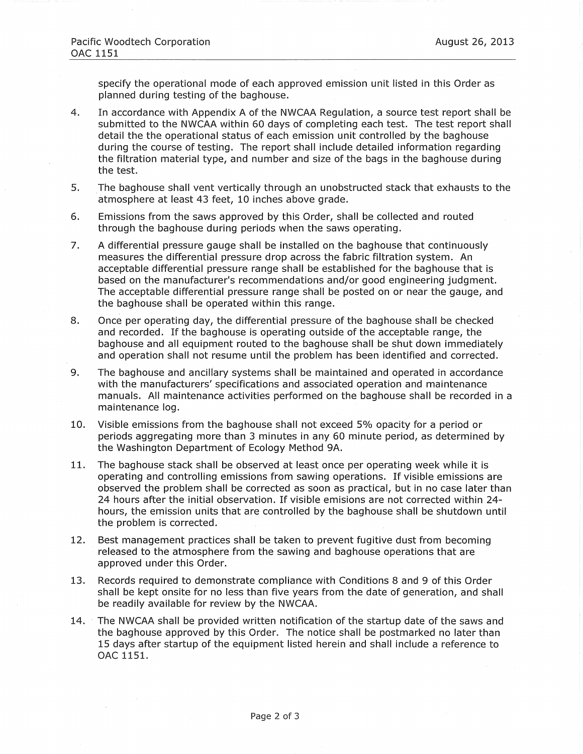specify the operational mode of each approved emission unit listed in this Order as planned during testing of the baghouse.

- $4.$ In accordance with Appendix A of the NWCAA Regulation, a source test report shall be submitted to the NWCAA within 60 days of completing each test. The test report shall detail the the operational status of each emission unit controlled by the baghouse during the course of testing. The report shall include detailed information regarding the filtration material type, and number and size of the bags in the baghouse during the test.
- The baghouse shall vent vertically through an unobstructed stack that exhausts to the 5. atmosphere at least 43 feet, 10 inches above grade.
- 6. Emissions from the saws approved by this Order, shall be collected and routed through the baghouse during periods when the saws operating.
- A differential pressure gauge shall be installed on the baghouse that continuously  $7.$ measures the differential pressure drop across the fabric filtration system. An acceptable differential pressure range shall be established for the baghouse that is based on the manufacturer's recommendations and/or good engineering judgment. The acceptable differential pressure range shall be posted on or near the gauge, and the baghouse shall be operated within this range.
- 8. Once per operating day, the differential pressure of the baghouse shall be checked and recorded. If the baghouse is operating outside of the acceptable range, the baghouse and all equipment routed to the baghouse shall be shut down immediately and operation shall not resume until the problem has been identified and corrected.
- 9. The baghouse and ancillary systems shall be maintained and operated in accordance with the manufacturers' specifications and associated operation and maintenance manuals. All maintenance activities performed on the baghouse shall be recorded in a maintenance log.
- 10. Visible emissions from the baghouse shall not exceed 5% opacity for a period or periods aggregating more than 3 minutes in any 60 minute period, as determined by the Washington Department of Ecology Method 9A.
- The baghouse stack shall be observed at least once per operating week while it is  $11.$ operating and controlling emissions from sawing operations. If visible emissions are observed the problem shall be corrected as soon as practical, but in no case later than 24 hours after the initial observation. If visible emisions are not corrected within 24hours, the emission units that are controlled by the baghouse shall be shutdown until the problem is corrected.
- $12.$ Best management practices shall be taken to prevent fugitive dust from becoming released to the atmosphere from the sawing and baghouse operations that are approved under this Order.
- 13. Records required to demonstrate compliance with Conditions 8 and 9 of this Order shall be kept onsite for no less than five years from the date of generation, and shall be readily available for review by the NWCAA.
- The NWCAA shall be provided written notification of the startup date of the saws and  $14.$ the baghouse approved by this Order. The notice shall be postmarked no later than 15 days after startup of the equipment listed herein and shall include a reference to OAC 1151.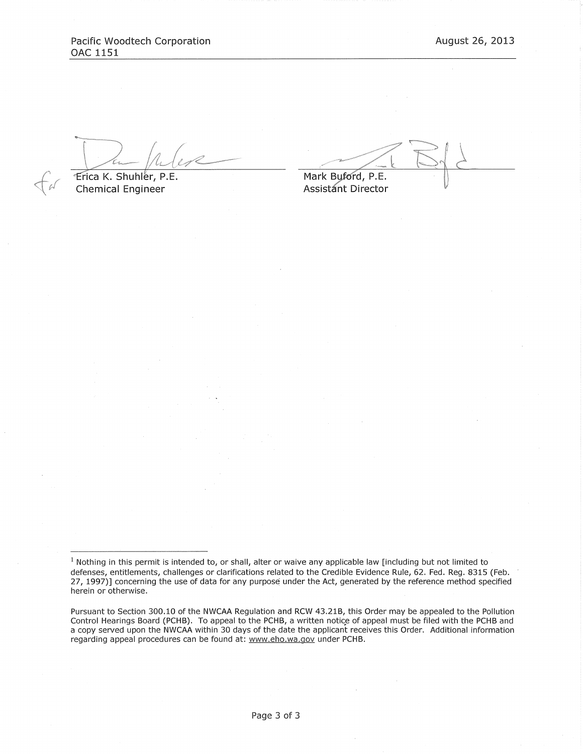Erica K. Shuhler, P.E. **Chemical Engineer** 

Mark Buford, P.E. **Assistant Director** 

 $1$  Nothing in this permit is intended to, or shall, alter or waive any applicable law [including but not limited to defenses, entitlements, challenges or clarifications related to the Credible Evidence Rule, 62. Fed. Reg. 8315 (Feb. 27, 1997)] concerning the use of data for any purpose under the Act, generated by the reference method specified herein or otherwise.

Pursuant to Section 300.10 of the NWCAA Regulation and RCW 43.21B, this Order may be appealed to the Pollution Control Hearings Board (PCHB). To appeal to the PCHB, a written notice of appeal must be filed with the PCHB and a copy served upon the NWCAA within 30 days of the date the applicant receives this Order. Additional information regarding appeal procedures can be found at: www.eho.wa.gov under PCHB.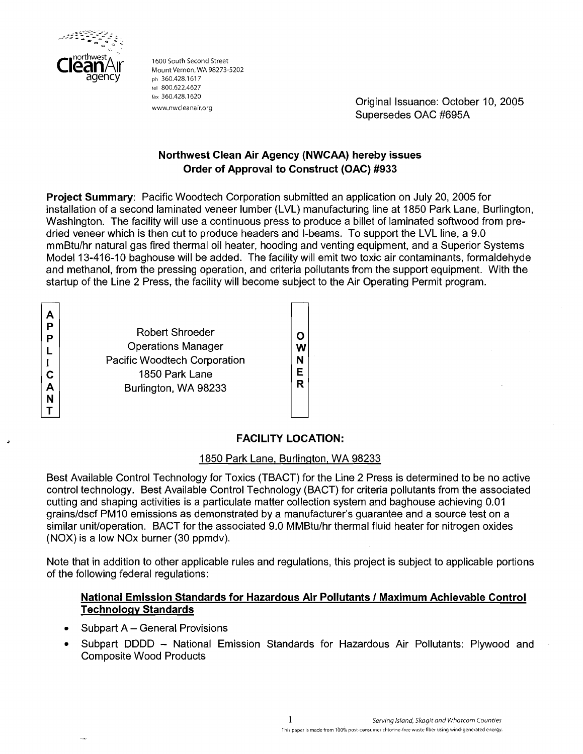

1600 South Second Street<br>Mount Vernon, WA 98273-5202 ph 360.428.1617 tel 800.622.4627<br>fax 360.428,1620

rax 360.428.1620<br>www.nwcleanair.org<br>www.nwcleanair.org Supersedes OAC #695A

# **Northwest Clean Air Agency (NWCAA) hereby issues Order of Approval to Construct (OAC) #933**

**Project Summary:** Pacific Woodtech Corporation submitted an application on July 20, 2005 for installation of a second laminated veneer lumber (LVL) manufacturing line at 1850 Park Lane, Burlington, Washington. The facility will use a continuous press to produce a billet of laminated softwood from predried veneer which is then cut to produce headers and I-beams. To support the LVL line, a 9.0 mmBtu/hr natural gas fired thermal oil heater, hooding and venting equipment, and a Superior Systems Model 13-416-10 baghouse will be added. The facility will emit two toxic air contaminants, formaldehyde and methanol, from the pressing operation, and criteria pollutants from the support equipment. With the startup of the Line 2 Press, the facility will become subject to the Air Operating Permit program.

A P P L  $\mathbf{I}$ C A N T

Robert Shroeder Operations Manager Pacific Woodtech Corporation 1850 Park Lane Burlington, WA 98233

O W N E R

# , **FACILITY LOCATION:**

## 1850 Park Lane, Burlington, WA 98233

Best Available Control Technology for Toxics (TBACT) for the Line 2 Press is determined to be no active control technology. Best Available Control Technology (BACT) for criteria pollutants from the associated cutting and shaping activities is a particulate matter collection system and baghouse achieving 0.01 grainsldscf PMIO emissions as demonstrated by a manufacturer's guarantee and a source test on a similar unit/operation. BACT for the associated 9.0 MMBtu/hr thermal fluid heater for nitrogen oxides (NOX) is a low NOx burner (30 ppmdv).

Note that in addition to other applicable rules and regulations, this project is subject to applicable portions of the following federal regulations:

## **National Emission Standards for Hazardous Air Pollutants** I **Maximum Achievable Control Technologv Standards**

- Subpart A General Provisions  $\bullet$
- Subpart DDDD National Emission Standards for Hazardous Air Pollutants: Plywood and Composite Wood Products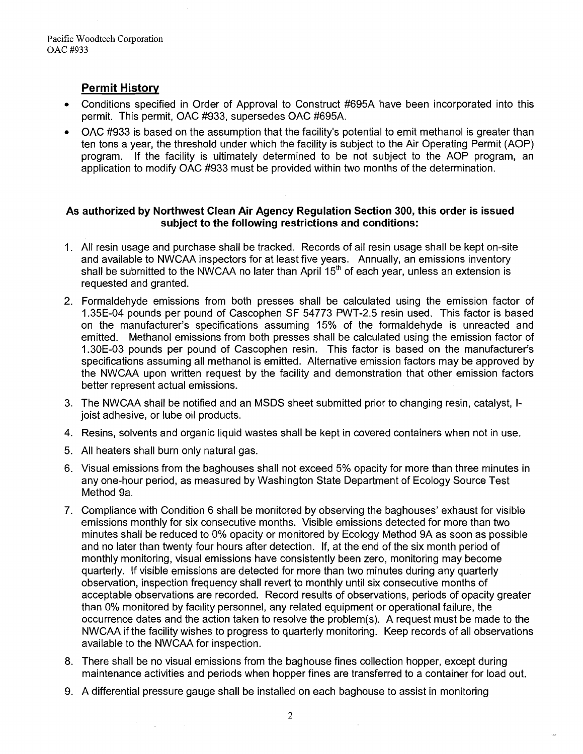# **Permit History**

- Conditions specified in Order of Approval to Construct #695A have been incorporated into this permit. This permit, OAC #933, supersedes OAC #695A.
- OAC #933 is based on the assumption that the facility's potential to emit methanol is greater than ten tons a year, the threshold under which the facility is subject to the Air Operating Permit (AOP) program. If the facility is ultimately determined to be not subject to the AOP program, an application to modify OAC #933 must be provided within two months of the determination.

### **As authorized by Northwest Clean Air Agency Regulation Section 300, this order is issued subject to the following restrictions and conditions:**

- 1. All resin usage and purchase shall be tracked. Records of all resin usage shall be kept on-site and available to NWCAA inspectors for at least five years. Annually, an emissions inventory shall be submitted to the NWCAA no later than April 15<sup>th</sup> of each year, unless an extension is requested and granted.
- Formaldehyde emissions from both presses shall be calculated using the emission factor of 1.35E-04 pounds per pound of Cascophen SF 54773 PWT-2.5 resin used. This factor is based on the manufacturer's specifications assuming 15% of the formaldehyde is unreacted and emitted. Methanol emissions from both presses shall be calculated using the emission factor of 1.30E-03 pounds per pound of Cascophen resin. This factor is based on the manufacturer's specifications assuming all methanol is emitted. Alternative emission factors may be approved by the NWCAA upon written request by the facility and demonstration that other emission factors better represent actual emissions.
- The NWCAA shall be notified and an MSDS sheet submitted prior to changing resin, catalyst, Ijoist adhesive, or lube oil products.
- 4. Resins, solvents and organic liquid wastes shall be kept in covered containers when not in use.
- 5. All heaters shall burn only natural gas.

 $\sim 10^{-1}$ 

**Carlos** 

- 6. Visual emissions from the baghouses shall not exceed 5% opacity for more than three minutes in any one-hour period, as measured by Washington State Department of Ecology Source Test Method 9a.
- 7. Compliance with Condition 6 shall be moritored by observing the baghouses' exhaust for visible emissions monthly for six consecutive months. Visible emissions detected for more than two minutes shall be reduced to 0% opacity or monitored by Ecology Method 9A as soon as possible and no later than twenty four hours after detection. If, at the end of the six month period of monthly monitoring, visual emissions have consistently been zero, monitoring may become quarterly. If visible emissions are detected for more than two minutes during any quarterly observation, inspection frequency shall revert to monthly until six consecutive months of acceptable observations are recorded. Record results of observations, periods of opacity greater than 0% monitored by facility personnel, any related equipment or operational failure, the occurrence dates and the action taken to resolve the problem(s). A request must be made to the NWCAA if the facility wishes to progress to quarterly monitoring. Keep records of all observations available to the NWCAA for inspection.
- 8. There shall be no visual emissions from the baghouse fines collection hopper, except during maintenance activities and periods when hopper fines are transferred to a container for load out.
- 9. A differential pressure gauge shall be installed on each baghouse to assist in monitoring